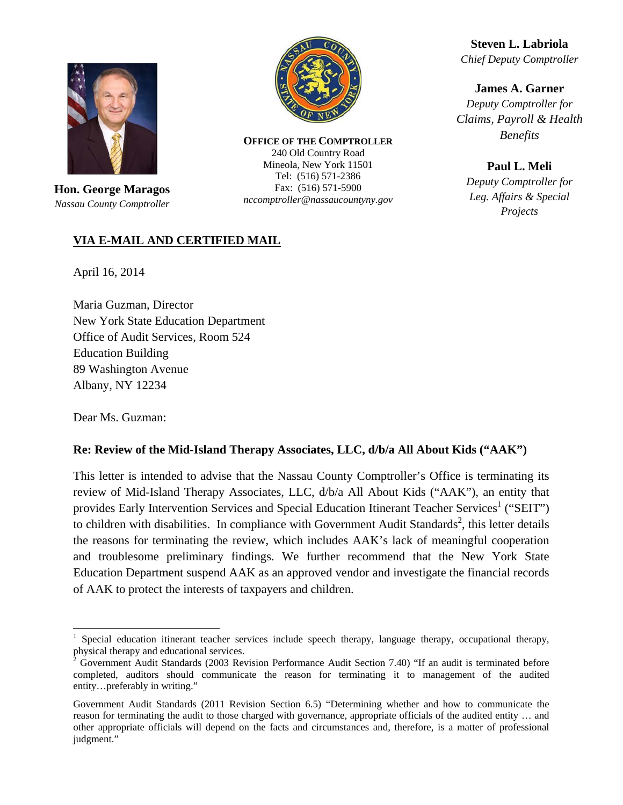

**Hon. George Maragos**  *Nassau County Comptroller* 



**OFFICE OF THE COMPTROLLER** 240 Old Country Road Mineola, New York 11501 Tel: (516) 571-2386 Fax: (516) 571-5900 *nccomptroller@nassaucountyny.gov* 

**Steven L. Labriola**  *Chief Deputy Comptroller* 

**James A. Garner**  *Deputy Comptroller for Claims, Payroll & Health Benefits* 

**Paul L. Meli**  *Deputy Comptroller for Leg. Affairs & Special Projects*

## **VIA E-MAIL AND CERTIFIED MAIL**

April 16, 2014

Maria Guzman, Director New York State Education Department Office of Audit Services, Room 524 Education Building 89 Washington Avenue Albany, NY 12234

Dear Ms. Guzman:

 $\overline{a}$ 

#### **Re: Review of the Mid-Island Therapy Associates, LLC, d/b/a All About Kids ("AAK")**

This letter is intended to advise that the Nassau County Comptroller's Office is terminating its review of Mid-Island Therapy Associates, LLC, d/b/a All About Kids ("AAK"), an entity that provides Early Intervention Services and Special Education Itinerant Teacher Services<sup>1</sup> ("SEIT") to children with disabilities. In compliance with Government Audit Standards<sup>2</sup>, this letter details the reasons for terminating the review, which includes AAK's lack of meaningful cooperation and troublesome preliminary findings. We further recommend that the New York State Education Department suspend AAK as an approved vendor and investigate the financial records of AAK to protect the interests of taxpayers and children.

<sup>1</sup> Special education itinerant teacher services include speech therapy, language therapy, occupational therapy,

physical therapy and educational services.<br><sup>2</sup> Government Audit Standards (2003 Revision Performance Audit Section 7.40) "If an audit is terminated before completed, auditors should communicate the reason for terminating it to management of the audited entity…preferably in writing."

Government Audit Standards (2011 Revision Section 6.5) "Determining whether and how to communicate the reason for terminating the audit to those charged with governance, appropriate officials of the audited entity … and other appropriate officials will depend on the facts and circumstances and, therefore, is a matter of professional judgment."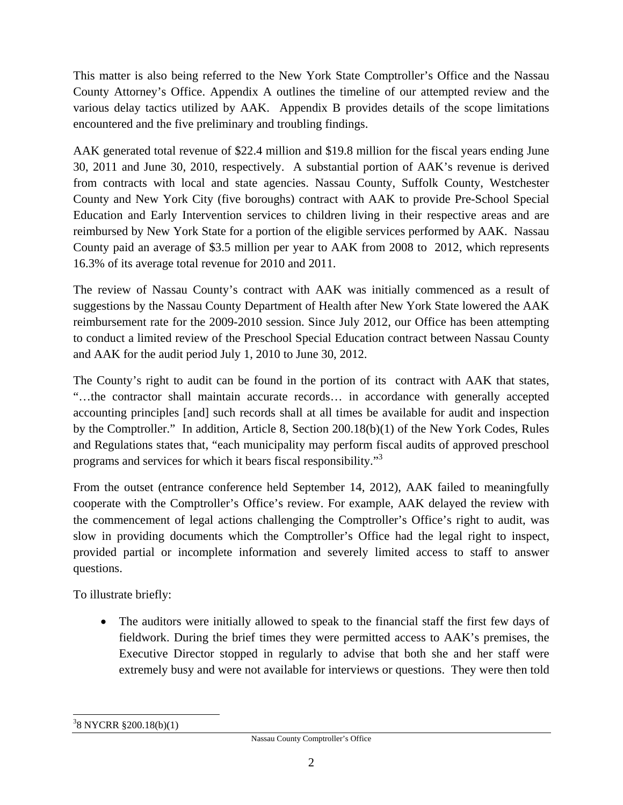This matter is also being referred to the New York State Comptroller's Office and the Nassau County Attorney's Office. Appendix A outlines the timeline of our attempted review and the various delay tactics utilized by AAK. Appendix B provides details of the scope limitations encountered and the five preliminary and troubling findings.

AAK generated total revenue of \$22.4 million and \$19.8 million for the fiscal years ending June 30, 2011 and June 30, 2010, respectively. A substantial portion of AAK's revenue is derived from contracts with local and state agencies. Nassau County, Suffolk County, Westchester County and New York City (five boroughs) contract with AAK to provide Pre-School Special Education and Early Intervention services to children living in their respective areas and are reimbursed by New York State for a portion of the eligible services performed by AAK. Nassau County paid an average of \$3.5 million per year to AAK from 2008 to 2012, which represents 16.3% of its average total revenue for 2010 and 2011.

The review of Nassau County's contract with AAK was initially commenced as a result of suggestions by the Nassau County Department of Health after New York State lowered the AAK reimbursement rate for the 2009-2010 session. Since July 2012, our Office has been attempting to conduct a limited review of the Preschool Special Education contract between Nassau County and AAK for the audit period July 1, 2010 to June 30, 2012.

The County's right to audit can be found in the portion of its contract with AAK that states, "…the contractor shall maintain accurate records… in accordance with generally accepted accounting principles [and] such records shall at all times be available for audit and inspection by the Comptroller." In addition, Article 8, Section 200.18(b)(1) of the New York Codes, Rules and Regulations states that, "each municipality may perform fiscal audits of approved preschool programs and services for which it bears fiscal responsibility."<sup>3</sup>

From the outset (entrance conference held September 14, 2012), AAK failed to meaningfully cooperate with the Comptroller's Office's review. For example, AAK delayed the review with the commencement of legal actions challenging the Comptroller's Office's right to audit, was slow in providing documents which the Comptroller's Office had the legal right to inspect, provided partial or incomplete information and severely limited access to staff to answer questions.

To illustrate briefly:

• The auditors were initially allowed to speak to the financial staff the first few days of fieldwork. During the brief times they were permitted access to AAK's premises, the Executive Director stopped in regularly to advise that both she and her staff were extremely busy and were not available for interviews or questions. They were then told

 $\overline{a}$ 3 8 NYCRR §200.18(b)(1)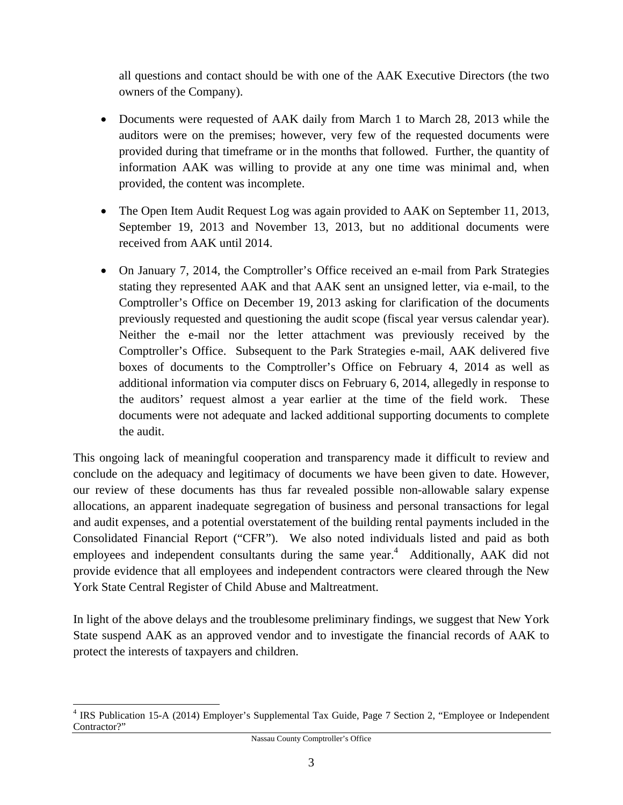all questions and contact should be with one of the AAK Executive Directors (the two owners of the Company).

- Documents were requested of AAK daily from March 1 to March 28, 2013 while the auditors were on the premises; however, very few of the requested documents were provided during that timeframe or in the months that followed. Further, the quantity of information AAK was willing to provide at any one time was minimal and, when provided, the content was incomplete.
- The Open Item Audit Request Log was again provided to AAK on September 11, 2013, September 19, 2013 and November 13, 2013, but no additional documents were received from AAK until 2014.
- On January 7, 2014, the Comptroller's Office received an e-mail from Park Strategies stating they represented AAK and that AAK sent an unsigned letter, via e-mail, to the Comptroller's Office on December 19, 2013 asking for clarification of the documents previously requested and questioning the audit scope (fiscal year versus calendar year). Neither the e-mail nor the letter attachment was previously received by the Comptroller's Office. Subsequent to the Park Strategies e-mail, AAK delivered five boxes of documents to the Comptroller's Office on February 4, 2014 as well as additional information via computer discs on February 6, 2014, allegedly in response to the auditors' request almost a year earlier at the time of the field work. These documents were not adequate and lacked additional supporting documents to complete the audit.

This ongoing lack of meaningful cooperation and transparency made it difficult to review and conclude on the adequacy and legitimacy of documents we have been given to date. However, our review of these documents has thus far revealed possible non-allowable salary expense allocations, an apparent inadequate segregation of business and personal transactions for legal and audit expenses, and a potential overstatement of the building rental payments included in the Consolidated Financial Report ("CFR"). We also noted individuals listed and paid as both employees and independent consultants during the same year. $4$  Additionally, AAK did not provide evidence that all employees and independent contractors were cleared through the New York State Central Register of Child Abuse and Maltreatment.

In light of the above delays and the troublesome preliminary findings, we suggest that New York State suspend AAK as an approved vendor and to investigate the financial records of AAK to protect the interests of taxpayers and children.

 $\overline{a}$ 

<sup>&</sup>lt;sup>4</sup> IRS Publication 15-A (2014) Employer's Supplemental Tax Guide, Page 7 Section 2, "Employee or Independent Contractor?"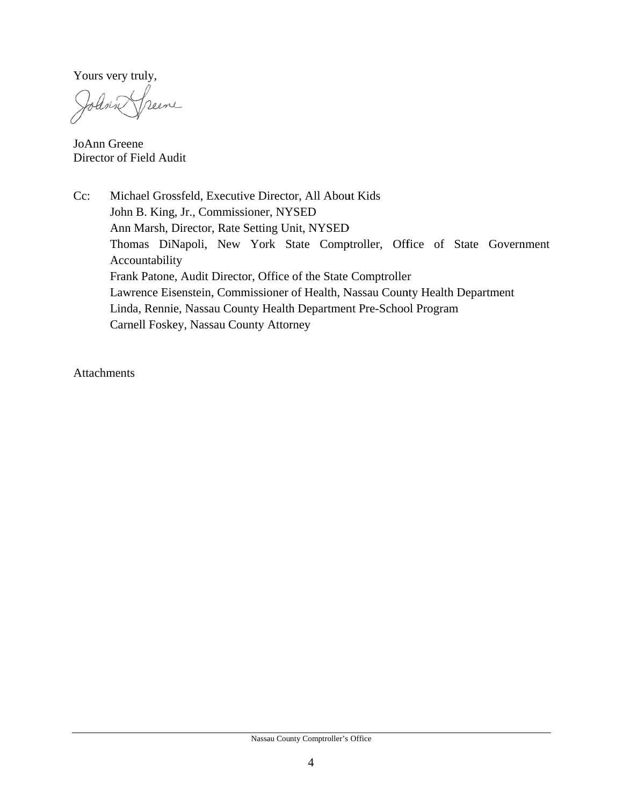Yours very truly,

folink neere

JoAnn G Greene Director of Field Audit

 $Cc:$ John B. King, Jr., Commissioner, NYSED Ann Marsh, Director, Rate Setting Unit, NYSED Thomas DiNapoli, New York State Comptroller, Office of State Government Accountability Frank Patone, Audit Director, Office of the State Comptroller Lawrence Eisenstein, Commissioner of Health, Nassau County Health Department Linda, Rennie, Nassau County Health Department Pre-School Program Carnell Foskey, Nassau County Attorney Michael Grossfeld, Executive Director, All About Kids

Attachments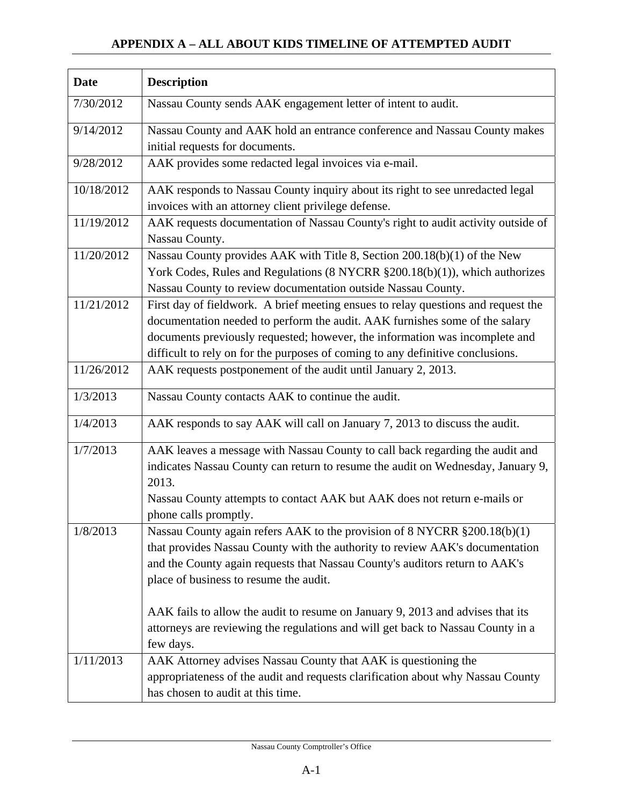## **APPENDIX A – ALL ABOUT KIDS TIMELINE OF ATTEMPTED AUDIT**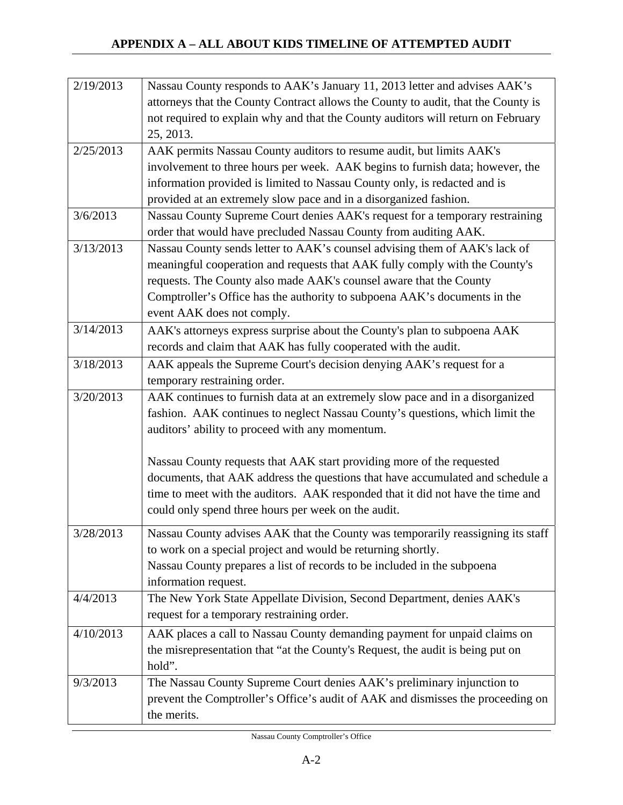| 2/19/2013 | Nassau County responds to AAK's January 11, 2013 letter and advises AAK's         |
|-----------|-----------------------------------------------------------------------------------|
|           | attorneys that the County Contract allows the County to audit, that the County is |
|           | not required to explain why and that the County auditors will return on February  |
|           | 25, 2013.                                                                         |
| 2/25/2013 | AAK permits Nassau County auditors to resume audit, but limits AAK's              |
|           | involvement to three hours per week. AAK begins to furnish data; however, the     |
|           | information provided is limited to Nassau County only, is redacted and is         |
|           | provided at an extremely slow pace and in a disorganized fashion.                 |
| 3/6/2013  | Nassau County Supreme Court denies AAK's request for a temporary restraining      |
|           | order that would have precluded Nassau County from auditing AAK.                  |
| 3/13/2013 | Nassau County sends letter to AAK's counsel advising them of AAK's lack of        |
|           | meaningful cooperation and requests that AAK fully comply with the County's       |
|           | requests. The County also made AAK's counsel aware that the County                |
|           | Comptroller's Office has the authority to subpoena AAK's documents in the         |
|           | event AAK does not comply.                                                        |
| 3/14/2013 | AAK's attorneys express surprise about the County's plan to subpoena AAK          |
|           | records and claim that AAK has fully cooperated with the audit.                   |
| 3/18/2013 | AAK appeals the Supreme Court's decision denying AAK's request for a              |
|           | temporary restraining order.                                                      |
| 3/20/2013 | AAK continues to furnish data at an extremely slow pace and in a disorganized     |
|           | fashion. AAK continues to neglect Nassau County's questions, which limit the      |
|           | auditors' ability to proceed with any momentum.                                   |
|           |                                                                                   |
|           | Nassau County requests that AAK start providing more of the requested             |
|           | documents, that AAK address the questions that have accumulated and schedule a    |
|           | time to meet with the auditors. AAK responded that it did not have the time and   |
|           | could only spend three hours per week on the audit.                               |
| 3/28/2013 | Nassau County advises AAK that the County was temporarily reassigning its staff   |
|           | to work on a special project and would be returning shortly.                      |
|           | Nassau County prepares a list of records to be included in the subpoena           |
|           | information request.                                                              |
| 4/4/2013  | The New York State Appellate Division, Second Department, denies AAK's            |
|           | request for a temporary restraining order.                                        |
| 4/10/2013 | AAK places a call to Nassau County demanding payment for unpaid claims on         |
|           | the misrepresentation that "at the County's Request, the audit is being put on    |
|           | hold".                                                                            |
| 9/3/2013  | The Nassau County Supreme Court denies AAK's preliminary injunction to            |
|           | prevent the Comptroller's Office's audit of AAK and dismisses the proceeding on   |
|           | the merits.                                                                       |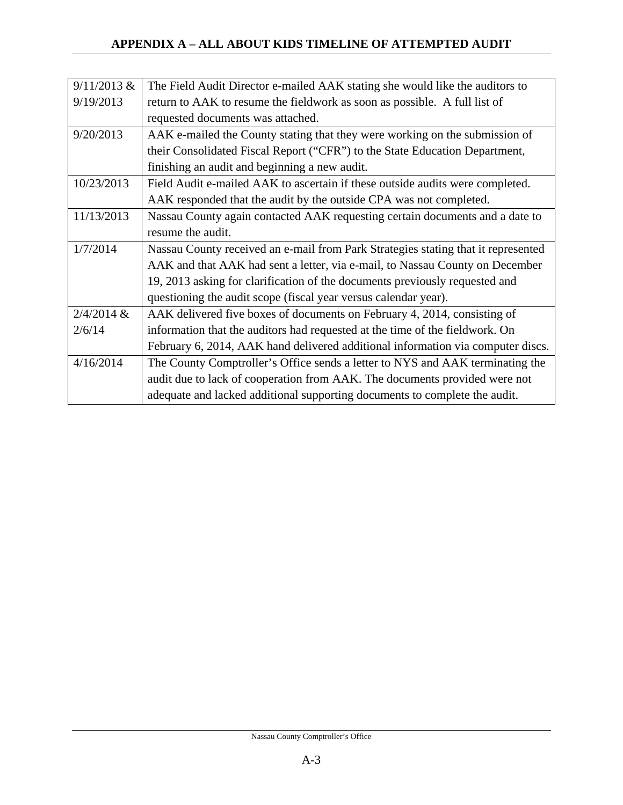| $9/11/2013$ & | The Field Audit Director e-mailed AAK stating she would like the auditors to      |  |  |  |  |
|---------------|-----------------------------------------------------------------------------------|--|--|--|--|
| 9/19/2013     | return to AAK to resume the fieldwork as soon as possible. A full list of         |  |  |  |  |
|               | requested documents was attached.                                                 |  |  |  |  |
| 9/20/2013     | AAK e-mailed the County stating that they were working on the submission of       |  |  |  |  |
|               | their Consolidated Fiscal Report ("CFR") to the State Education Department,       |  |  |  |  |
|               | finishing an audit and beginning a new audit.                                     |  |  |  |  |
| 10/23/2013    | Field Audit e-mailed AAK to ascertain if these outside audits were completed.     |  |  |  |  |
|               | AAK responded that the audit by the outside CPA was not completed.                |  |  |  |  |
| 11/13/2013    | Nassau County again contacted AAK requesting certain documents and a date to      |  |  |  |  |
|               | resume the audit.                                                                 |  |  |  |  |
| 1/7/2014      | Nassau County received an e-mail from Park Strategies stating that it represented |  |  |  |  |
|               | AAK and that AAK had sent a letter, via e-mail, to Nassau County on December      |  |  |  |  |
|               | 19, 2013 asking for clarification of the documents previously requested and       |  |  |  |  |
|               | questioning the audit scope (fiscal year versus calendar year).                   |  |  |  |  |
| $2/4/2014$ &  | AAK delivered five boxes of documents on February 4, 2014, consisting of          |  |  |  |  |
| 2/6/14        | information that the auditors had requested at the time of the fieldwork. On      |  |  |  |  |
|               | February 6, 2014, AAK hand delivered additional information via computer discs.   |  |  |  |  |
| 4/16/2014     | The County Comptroller's Office sends a letter to NYS and AAK terminating the     |  |  |  |  |
|               | audit due to lack of cooperation from AAK. The documents provided were not        |  |  |  |  |
|               | adequate and lacked additional supporting documents to complete the audit.        |  |  |  |  |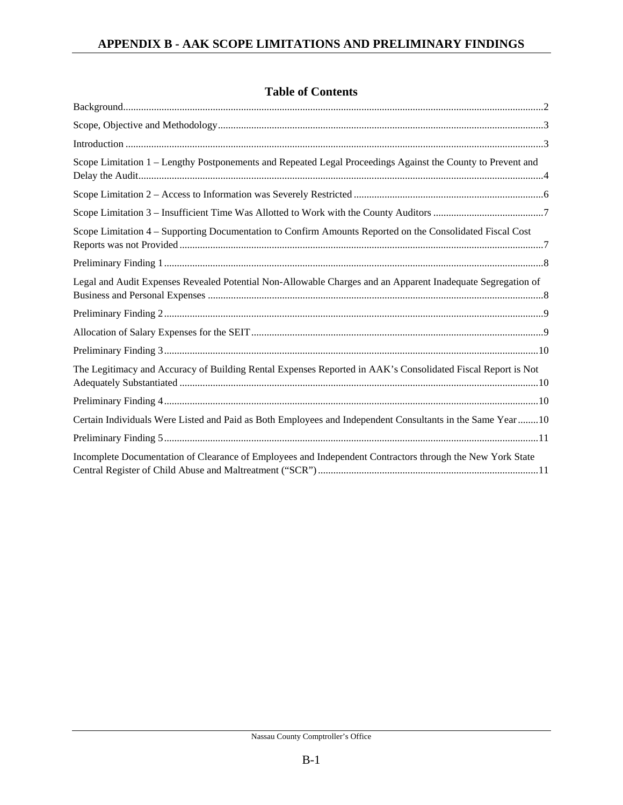|  | <b>Table of Contents</b> |
|--|--------------------------|
|--|--------------------------|

| Introduction 1.13                                                                                           |
|-------------------------------------------------------------------------------------------------------------|
| Scope Limitation 1 - Lengthy Postponements and Repeated Legal Proceedings Against the County to Prevent and |
|                                                                                                             |
|                                                                                                             |
| Scope Limitation 4 - Supporting Documentation to Confirm Amounts Reported on the Consolidated Fiscal Cost   |
|                                                                                                             |
| Legal and Audit Expenses Revealed Potential Non-Allowable Charges and an Apparent Inadequate Segregation of |
|                                                                                                             |
|                                                                                                             |
|                                                                                                             |
| The Legitimacy and Accuracy of Building Rental Expenses Reported in AAK's Consolidated Fiscal Report is Not |
|                                                                                                             |
| Certain Individuals Were Listed and Paid as Both Employees and Independent Consultants in the Same Year10   |
|                                                                                                             |
| Incomplete Documentation of Clearance of Employees and Independent Contractors through the New York State   |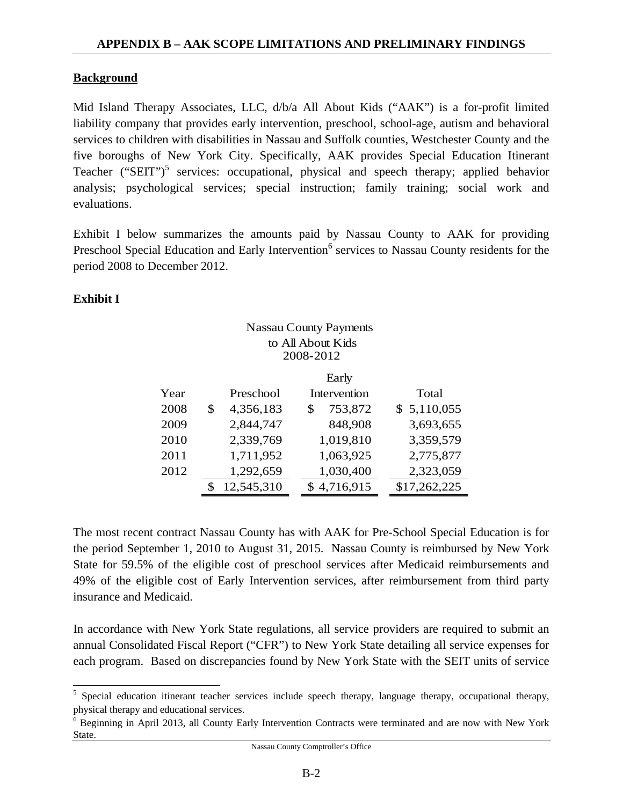## **Background**

Mid Island Therapy Associates, LLC, d/b/a All About Kids ("AAK") is a for-profit limited liability company that provides early intervention, preschool, school-age, autism and behavioral services to children with disabilities in Nassau and Suffolk counties, Westchester County and the five boroughs of New York City. Specifically, AAK provides Special Education Itinerant Teacher  $("SEIT")^5$  services: occupational, physical and speech therapy; applied behavior analysis; psychological services; special instruction; family training; social work and evaluations.

Exhibit I below summarizes the amounts paid by Nassau County to AAK for providing Preschool Special Education and Early Intervention<sup>6</sup> services to Nassau County residents for the period 2008 to December 2012.

Nassau County Payments

## **Exhibit I**

 $\overline{a}$ 

|      |                  | INASSAU COUIILY I AVIIICHIS |              |
|------|------------------|-----------------------------|--------------|
|      |                  | to All About Kids           |              |
|      |                  | 2008-2012                   |              |
|      |                  | Early                       |              |
| Year | Preschool        | Intervention                | Total        |
| 2008 | \$<br>4,356,183  | 753,872<br>\$               | \$5,110,055  |
| 2009 | 2,844,747        | 848,908                     | 3,693,655    |
| 2010 | 2,339,769        | 1,019,810                   | 3,359,579    |
| 2011 | 1,711,952        | 1,063,925                   | 2,775,877    |
| 2012 | 1,292,659        | 1,030,400                   | 2,323,059    |
|      | \$<br>12,545,310 | \$4,716,915                 | \$17,262,225 |

The most recent contract Nassau County has with AAK for Pre-School Special Education is for the period September 1, 2010 to August 31, 2015. Nassau County is reimbursed by New York State for 59.5% of the eligible cost of preschool services after Medicaid reimbursements and 49% of the eligible cost of Early Intervention services, after reimbursement from third party insurance and Medicaid.

In accordance with New York State regulations, all service providers are required to submit an annual Consolidated Fiscal Report ("CFR") to New York State detailing all service expenses for each program. Based on discrepancies found by New York State with the SEIT units of service

<sup>&</sup>lt;sup>5</sup> Special education itinerant teacher services include speech therapy, language therapy, occupational therapy, physical therapy and educational services.

<sup>&</sup>lt;sup>6</sup> Beginning in April 2013, all County Early Intervention Contracts were terminated and are now with New York State.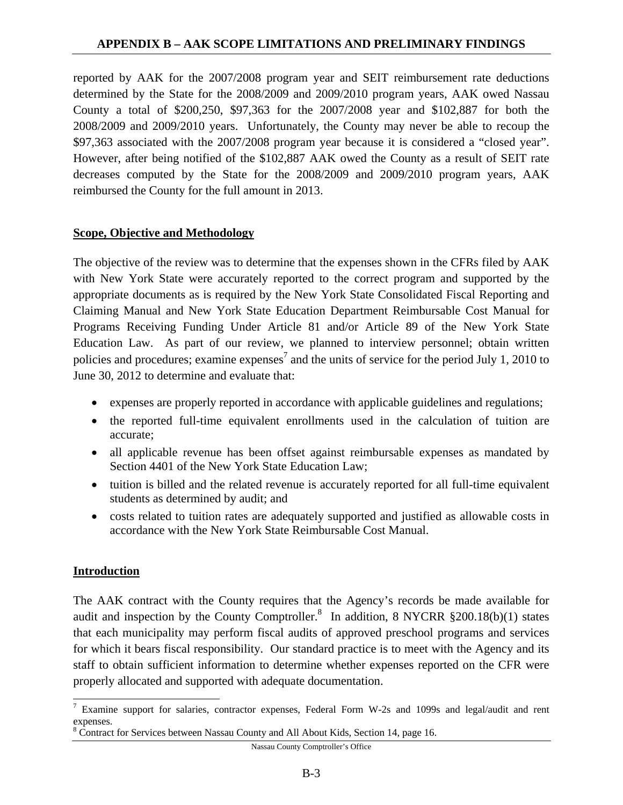reported by AAK for the 2007/2008 program year and SEIT reimbursement rate deductions determined by the State for the 2008/2009 and 2009/2010 program years, AAK owed Nassau County a total of \$200,250, \$97,363 for the 2007/2008 year and \$102,887 for both the 2008/2009 and 2009/2010 years. Unfortunately, the County may never be able to recoup the \$97,363 associated with the 2007/2008 program year because it is considered a "closed year". However, after being notified of the \$102,887 AAK owed the County as a result of SEIT rate decreases computed by the State for the 2008/2009 and 2009/2010 program years, AAK reimbursed the County for the full amount in 2013.

#### **Scope, Objective and Methodology**

The objective of the review was to determine that the expenses shown in the CFRs filed by AAK with New York State were accurately reported to the correct program and supported by the appropriate documents as is required by the New York State Consolidated Fiscal Reporting and Claiming Manual and New York State Education Department Reimbursable Cost Manual for Programs Receiving Funding Under Article 81 and/or Article 89 of the New York State Education Law. As part of our review, we planned to interview personnel; obtain written policies and procedures; examine expenses<sup>7</sup> and the units of service for the period July 1, 2010 to June 30, 2012 to determine and evaluate that:

- expenses are properly reported in accordance with applicable guidelines and regulations;
- the reported full-time equivalent enrollments used in the calculation of tuition are accurate;
- all applicable revenue has been offset against reimbursable expenses as mandated by Section 4401 of the New York State Education Law;
- tuition is billed and the related revenue is accurately reported for all full-time equivalent students as determined by audit; and
- costs related to tuition rates are adequately supported and justified as allowable costs in accordance with the New York State Reimbursable Cost Manual.

## **Introduction**

 $\overline{a}$ 

The AAK contract with the County requires that the Agency's records be made available for audit and inspection by the County Comptroller.<sup>8</sup> In addition, 8 NYCRR  $\S 200.18(b)(1)$  states that each municipality may perform fiscal audits of approved preschool programs and services for which it bears fiscal responsibility. Our standard practice is to meet with the Agency and its staff to obtain sufficient information to determine whether expenses reported on the CFR were properly allocated and supported with adequate documentation.

Nassau County Comptroller's Office

<sup>&</sup>lt;sup>7</sup> Examine support for salaries, contractor expenses, Federal Form W-2s and 1099s and legal/audit and rent expenses.

<sup>&</sup>lt;sup>8</sup> Contract for Services between Nassau County and All About Kids, Section 14, page 16.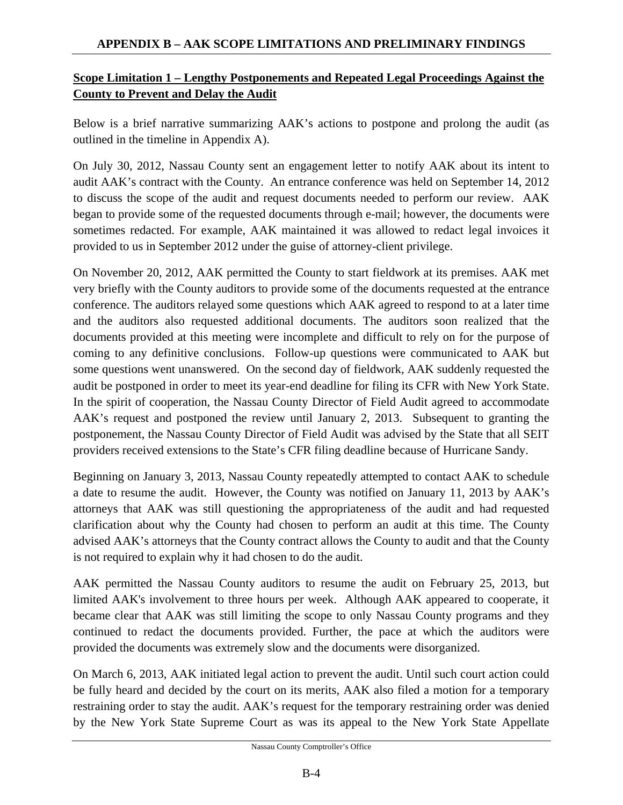## **Scope Limitation 1 – Lengthy Postponements and Repeated Legal Proceedings Against the County to Prevent and Delay the Audit**

Below is a brief narrative summarizing AAK's actions to postpone and prolong the audit (as outlined in the timeline in Appendix A).

On July 30, 2012, Nassau County sent an engagement letter to notify AAK about its intent to audit AAK's contract with the County. An entrance conference was held on September 14, 2012 to discuss the scope of the audit and request documents needed to perform our review. AAK began to provide some of the requested documents through e-mail; however, the documents were sometimes redacted. For example, AAK maintained it was allowed to redact legal invoices it provided to us in September 2012 under the guise of attorney-client privilege.

On November 20, 2012, AAK permitted the County to start fieldwork at its premises. AAK met very briefly with the County auditors to provide some of the documents requested at the entrance conference. The auditors relayed some questions which AAK agreed to respond to at a later time and the auditors also requested additional documents. The auditors soon realized that the documents provided at this meeting were incomplete and difficult to rely on for the purpose of coming to any definitive conclusions. Follow-up questions were communicated to AAK but some questions went unanswered. On the second day of fieldwork, AAK suddenly requested the audit be postponed in order to meet its year-end deadline for filing its CFR with New York State. In the spirit of cooperation, the Nassau County Director of Field Audit agreed to accommodate AAK's request and postponed the review until January 2, 2013. Subsequent to granting the postponement, the Nassau County Director of Field Audit was advised by the State that all SEIT providers received extensions to the State's CFR filing deadline because of Hurricane Sandy.

Beginning on January 3, 2013, Nassau County repeatedly attempted to contact AAK to schedule a date to resume the audit. However, the County was notified on January 11, 2013 by AAK's attorneys that AAK was still questioning the appropriateness of the audit and had requested clarification about why the County had chosen to perform an audit at this time. The County advised AAK's attorneys that the County contract allows the County to audit and that the County is not required to explain why it had chosen to do the audit.

AAK permitted the Nassau County auditors to resume the audit on February 25, 2013, but limited AAK's involvement to three hours per week. Although AAK appeared to cooperate, it became clear that AAK was still limiting the scope to only Nassau County programs and they continued to redact the documents provided. Further, the pace at which the auditors were provided the documents was extremely slow and the documents were disorganized.

On March 6, 2013, AAK initiated legal action to prevent the audit. Until such court action could be fully heard and decided by the court on its merits, AAK also filed a motion for a temporary restraining order to stay the audit. AAK's request for the temporary restraining order was denied by the New York State Supreme Court as was its appeal to the New York State Appellate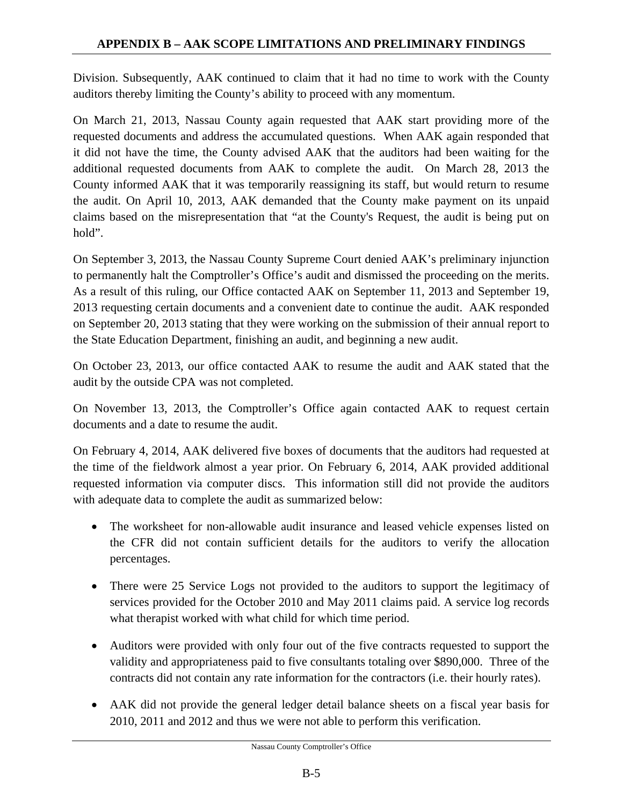Division. Subsequently, AAK continued to claim that it had no time to work with the County auditors thereby limiting the County's ability to proceed with any momentum.

On March 21, 2013, Nassau County again requested that AAK start providing more of the requested documents and address the accumulated questions. When AAK again responded that it did not have the time, the County advised AAK that the auditors had been waiting for the additional requested documents from AAK to complete the audit. On March 28, 2013 the County informed AAK that it was temporarily reassigning its staff, but would return to resume the audit. On April 10, 2013, AAK demanded that the County make payment on its unpaid claims based on the misrepresentation that "at the County's Request, the audit is being put on hold".

On September 3, 2013, the Nassau County Supreme Court denied AAK's preliminary injunction to permanently halt the Comptroller's Office's audit and dismissed the proceeding on the merits. As a result of this ruling, our Office contacted AAK on September 11, 2013 and September 19, 2013 requesting certain documents and a convenient date to continue the audit. AAK responded on September 20, 2013 stating that they were working on the submission of their annual report to the State Education Department, finishing an audit, and beginning a new audit.

On October 23, 2013, our office contacted AAK to resume the audit and AAK stated that the audit by the outside CPA was not completed.

On November 13, 2013, the Comptroller's Office again contacted AAK to request certain documents and a date to resume the audit.

On February 4, 2014, AAK delivered five boxes of documents that the auditors had requested at the time of the fieldwork almost a year prior. On February 6, 2014, AAK provided additional requested information via computer discs. This information still did not provide the auditors with adequate data to complete the audit as summarized below:

- The worksheet for non-allowable audit insurance and leased vehicle expenses listed on the CFR did not contain sufficient details for the auditors to verify the allocation percentages.
- There were 25 Service Logs not provided to the auditors to support the legitimacy of services provided for the October 2010 and May 2011 claims paid. A service log records what therapist worked with what child for which time period.
- Auditors were provided with only four out of the five contracts requested to support the validity and appropriateness paid to five consultants totaling over \$890,000. Three of the contracts did not contain any rate information for the contractors (i.e. their hourly rates).
- AAK did not provide the general ledger detail balance sheets on a fiscal year basis for 2010, 2011 and 2012 and thus we were not able to perform this verification.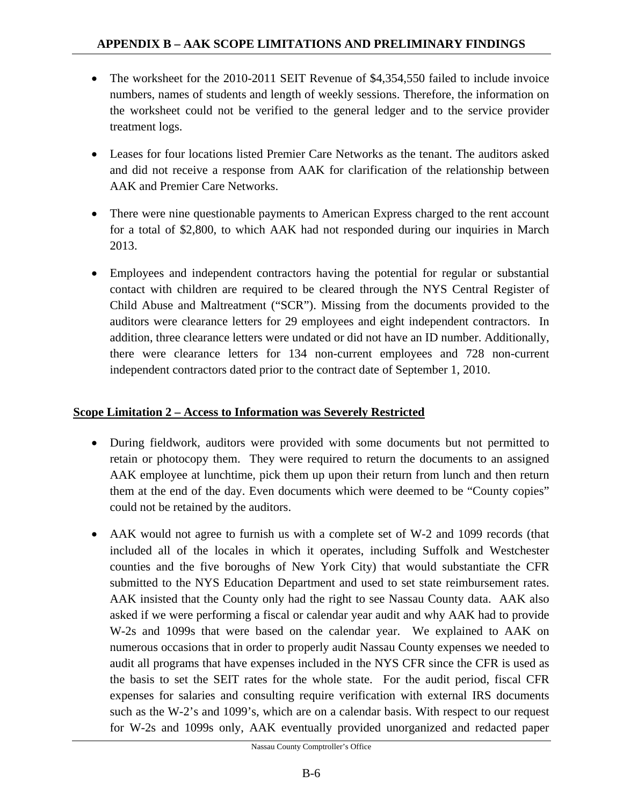- The worksheet for the 2010-2011 SEIT Revenue of \$4,354,550 failed to include invoice numbers, names of students and length of weekly sessions. Therefore, the information on the worksheet could not be verified to the general ledger and to the service provider treatment logs.
- Leases for four locations listed Premier Care Networks as the tenant. The auditors asked and did not receive a response from AAK for clarification of the relationship between AAK and Premier Care Networks.
- There were nine questionable payments to American Express charged to the rent account for a total of \$2,800, to which AAK had not responded during our inquiries in March 2013.
- Employees and independent contractors having the potential for regular or substantial contact with children are required to be cleared through the NYS Central Register of Child Abuse and Maltreatment ("SCR"). Missing from the documents provided to the auditors were clearance letters for 29 employees and eight independent contractors. In addition, three clearance letters were undated or did not have an ID number. Additionally, there were clearance letters for 134 non-current employees and 728 non-current independent contractors dated prior to the contract date of September 1, 2010.

#### **Scope Limitation 2 – Access to Information was Severely Restricted**

- During fieldwork, auditors were provided with some documents but not permitted to retain or photocopy them. They were required to return the documents to an assigned AAK employee at lunchtime, pick them up upon their return from lunch and then return them at the end of the day. Even documents which were deemed to be "County copies" could not be retained by the auditors.
- AAK would not agree to furnish us with a complete set of W-2 and 1099 records (that included all of the locales in which it operates, including Suffolk and Westchester counties and the five boroughs of New York City) that would substantiate the CFR submitted to the NYS Education Department and used to set state reimbursement rates. AAK insisted that the County only had the right to see Nassau County data. AAK also asked if we were performing a fiscal or calendar year audit and why AAK had to provide W-2s and 1099s that were based on the calendar year. We explained to AAK on numerous occasions that in order to properly audit Nassau County expenses we needed to audit all programs that have expenses included in the NYS CFR since the CFR is used as the basis to set the SEIT rates for the whole state. For the audit period, fiscal CFR expenses for salaries and consulting require verification with external IRS documents such as the W-2's and 1099's, which are on a calendar basis. With respect to our request for W-2s and 1099s only, AAK eventually provided unorganized and redacted paper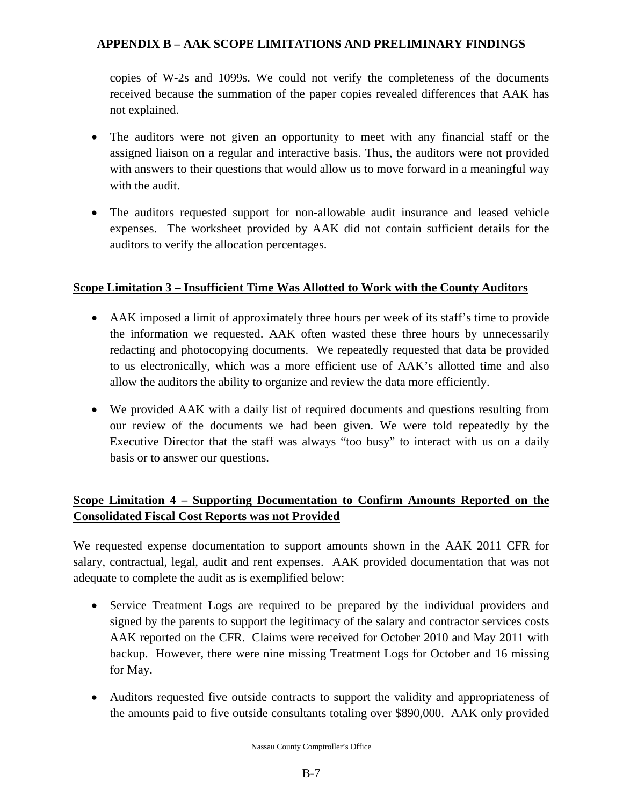copies of W-2s and 1099s. We could not verify the completeness of the documents received because the summation of the paper copies revealed differences that AAK has not explained.

- The auditors were not given an opportunity to meet with any financial staff or the assigned liaison on a regular and interactive basis. Thus, the auditors were not provided with answers to their questions that would allow us to move forward in a meaningful way with the audit.
- The auditors requested support for non-allowable audit insurance and leased vehicle expenses. The worksheet provided by AAK did not contain sufficient details for the auditors to verify the allocation percentages.

## **Scope Limitation 3 – Insufficient Time Was Allotted to Work with the County Auditors**

- AAK imposed a limit of approximately three hours per week of its staff's time to provide the information we requested. AAK often wasted these three hours by unnecessarily redacting and photocopying documents. We repeatedly requested that data be provided to us electronically, which was a more efficient use of AAK's allotted time and also allow the auditors the ability to organize and review the data more efficiently.
- We provided AAK with a daily list of required documents and questions resulting from our review of the documents we had been given. We were told repeatedly by the Executive Director that the staff was always "too busy" to interact with us on a daily basis or to answer our questions.

# **Scope Limitation 4 – Supporting Documentation to Confirm Amounts Reported on the Consolidated Fiscal Cost Reports was not Provided**

We requested expense documentation to support amounts shown in the AAK 2011 CFR for salary, contractual, legal, audit and rent expenses. AAK provided documentation that was not adequate to complete the audit as is exemplified below:

- Service Treatment Logs are required to be prepared by the individual providers and signed by the parents to support the legitimacy of the salary and contractor services costs AAK reported on the CFR. Claims were received for October 2010 and May 2011 with backup. However, there were nine missing Treatment Logs for October and 16 missing for May.
- Auditors requested five outside contracts to support the validity and appropriateness of the amounts paid to five outside consultants totaling over \$890,000. AAK only provided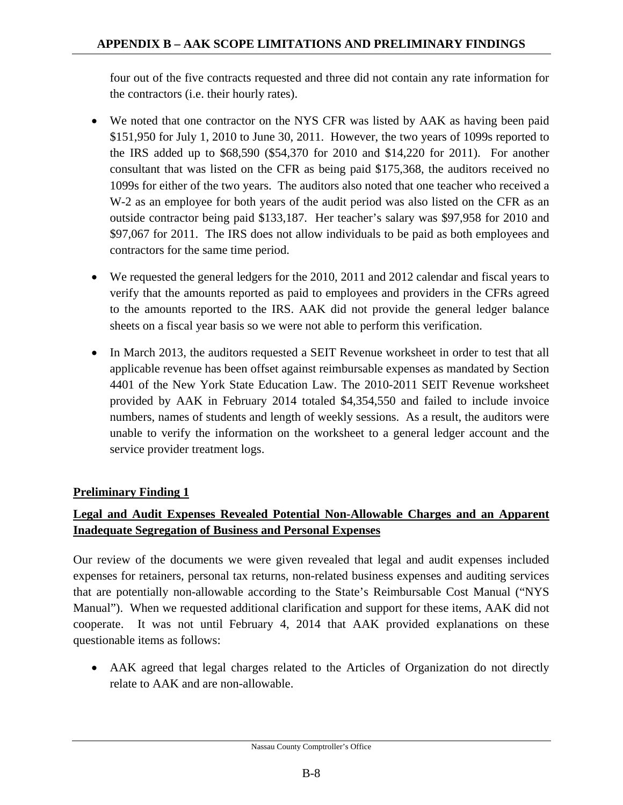four out of the five contracts requested and three did not contain any rate information for the contractors (i.e. their hourly rates).

- We noted that one contractor on the NYS CFR was listed by AAK as having been paid \$151,950 for July 1, 2010 to June 30, 2011. However, the two years of 1099s reported to the IRS added up to \$68,590 (\$54,370 for 2010 and \$14,220 for 2011). For another consultant that was listed on the CFR as being paid \$175,368, the auditors received no 1099s for either of the two years. The auditors also noted that one teacher who received a W-2 as an employee for both years of the audit period was also listed on the CFR as an outside contractor being paid \$133,187. Her teacher's salary was \$97,958 for 2010 and \$97,067 for 2011. The IRS does not allow individuals to be paid as both employees and contractors for the same time period.
- We requested the general ledgers for the 2010, 2011 and 2012 calendar and fiscal years to verify that the amounts reported as paid to employees and providers in the CFRs agreed to the amounts reported to the IRS. AAK did not provide the general ledger balance sheets on a fiscal year basis so we were not able to perform this verification.
- In March 2013, the auditors requested a SEIT Revenue worksheet in order to test that all applicable revenue has been offset against reimbursable expenses as mandated by Section 4401 of the New York State Education Law. The 2010-2011 SEIT Revenue worksheet provided by AAK in February 2014 totaled \$4,354,550 and failed to include invoice numbers, names of students and length of weekly sessions. As a result, the auditors were unable to verify the information on the worksheet to a general ledger account and the service provider treatment logs.

## **Preliminary Finding 1**

# **Legal and Audit Expenses Revealed Potential Non-Allowable Charges and an Apparent Inadequate Segregation of Business and Personal Expenses**

Our review of the documents we were given revealed that legal and audit expenses included expenses for retainers, personal tax returns, non-related business expenses and auditing services that are potentially non-allowable according to the State's Reimbursable Cost Manual ("NYS Manual"). When we requested additional clarification and support for these items, AAK did not cooperate. It was not until February 4, 2014 that AAK provided explanations on these questionable items as follows:

• AAK agreed that legal charges related to the Articles of Organization do not directly relate to AAK and are non-allowable.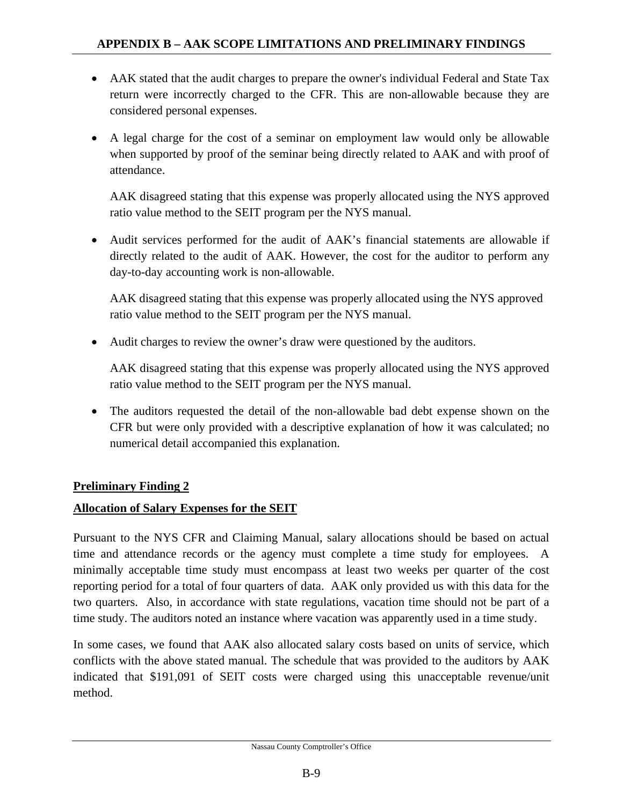- AAK stated that the audit charges to prepare the owner's individual Federal and State Tax return were incorrectly charged to the CFR. This are non-allowable because they are considered personal expenses.
- A legal charge for the cost of a seminar on employment law would only be allowable when supported by proof of the seminar being directly related to AAK and with proof of attendance.

AAK disagreed stating that this expense was properly allocated using the NYS approved ratio value method to the SEIT program per the NYS manual.

• Audit services performed for the audit of AAK's financial statements are allowable if directly related to the audit of AAK. However, the cost for the auditor to perform any day-to-day accounting work is non-allowable.

AAK disagreed stating that this expense was properly allocated using the NYS approved ratio value method to the SEIT program per the NYS manual.

• Audit charges to review the owner's draw were questioned by the auditors.

AAK disagreed stating that this expense was properly allocated using the NYS approved ratio value method to the SEIT program per the NYS manual.

• The auditors requested the detail of the non-allowable bad debt expense shown on the CFR but were only provided with a descriptive explanation of how it was calculated; no numerical detail accompanied this explanation.

## **Preliminary Finding 2**

## **Allocation of Salary Expenses for the SEIT**

Pursuant to the NYS CFR and Claiming Manual, salary allocations should be based on actual time and attendance records or the agency must complete a time study for employees. A minimally acceptable time study must encompass at least two weeks per quarter of the cost reporting period for a total of four quarters of data. AAK only provided us with this data for the two quarters. Also, in accordance with state regulations, vacation time should not be part of a time study. The auditors noted an instance where vacation was apparently used in a time study.

In some cases, we found that AAK also allocated salary costs based on units of service, which conflicts with the above stated manual. The schedule that was provided to the auditors by AAK indicated that \$191,091 of SEIT costs were charged using this unacceptable revenue/unit method.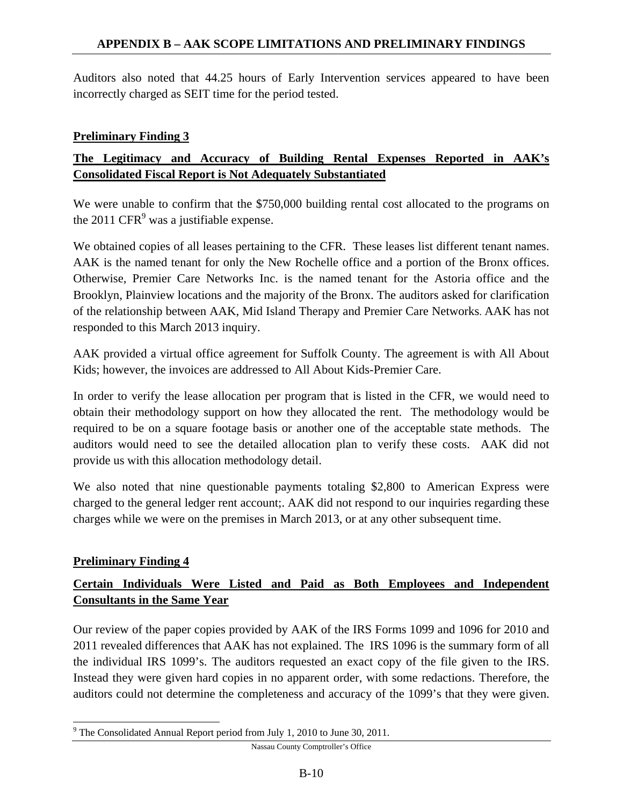Auditors also noted that 44.25 hours of Early Intervention services appeared to have been incorrectly charged as SEIT time for the period tested.

#### **Preliminary Finding 3**

## **The Legitimacy and Accuracy of Building Rental Expenses Reported in AAK's Consolidated Fiscal Report is Not Adequately Substantiated**

We were unable to confirm that the \$750,000 building rental cost allocated to the programs on the 2011  $CFR<sup>9</sup>$  was a justifiable expense.

We obtained copies of all leases pertaining to the CFR. These leases list different tenant names. AAK is the named tenant for only the New Rochelle office and a portion of the Bronx offices. Otherwise, Premier Care Networks Inc. is the named tenant for the Astoria office and the Brooklyn, Plainview locations and the majority of the Bronx. The auditors asked for clarification of the relationship between AAK, Mid Island Therapy and Premier Care Networks. AAK has not responded to this March 2013 inquiry.

AAK provided a virtual office agreement for Suffolk County. The agreement is with All About Kids; however, the invoices are addressed to All About Kids-Premier Care.

In order to verify the lease allocation per program that is listed in the CFR, we would need to obtain their methodology support on how they allocated the rent. The methodology would be required to be on a square footage basis or another one of the acceptable state methods. The auditors would need to see the detailed allocation plan to verify these costs. AAK did not provide us with this allocation methodology detail.

We also noted that nine questionable payments totaling \$2,800 to American Express were charged to the general ledger rent account;. AAK did not respond to our inquiries regarding these charges while we were on the premises in March 2013, or at any other subsequent time.

#### **Preliminary Finding 4**

 $\overline{a}$ 

## **Certain Individuals Were Listed and Paid as Both Employees and Independent Consultants in the Same Year**

Our review of the paper copies provided by AAK of the IRS Forms 1099 and 1096 for 2010 and 2011 revealed differences that AAK has not explained. The IRS 1096 is the summary form of all the individual IRS 1099's. The auditors requested an exact copy of the file given to the IRS. Instead they were given hard copies in no apparent order, with some redactions. Therefore, the auditors could not determine the completeness and accuracy of the 1099's that they were given.

Nassau County Comptroller's Office

 $9^9$  The Consolidated Annual Report period from July 1, 2010 to June 30, 2011.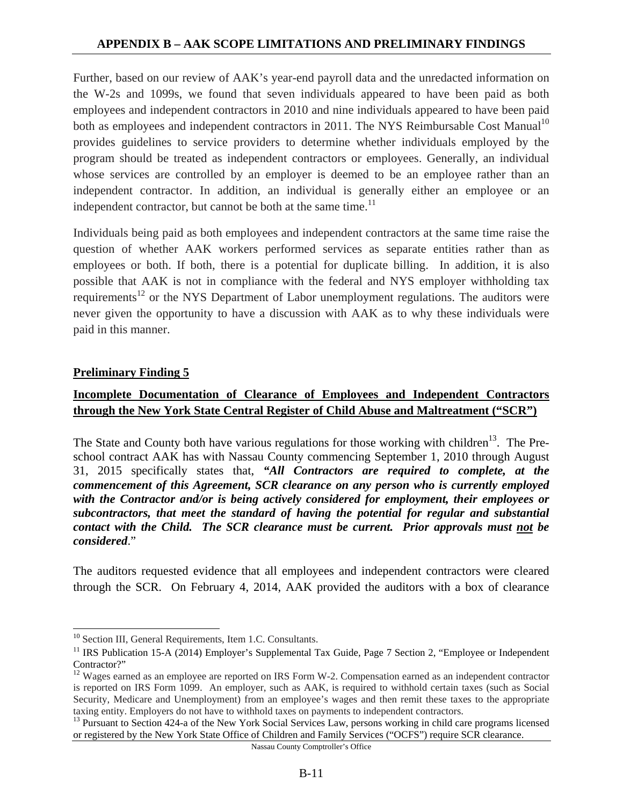Further, based on our review of AAK's year-end payroll data and the unredacted information on the W-2s and 1099s, we found that seven individuals appeared to have been paid as both employees and independent contractors in 2010 and nine individuals appeared to have been paid both as employees and independent contractors in 2011. The NYS Reimbursable Cost Manual<sup>10</sup> provides guidelines to service providers to determine whether individuals employed by the program should be treated as independent contractors or employees. Generally, an individual whose services are controlled by an employer is deemed to be an employee rather than an independent contractor. In addition, an individual is generally either an employee or an independent contractor, but cannot be both at the same time. $^{11}$ 

Individuals being paid as both employees and independent contractors at the same time raise the question of whether AAK workers performed services as separate entities rather than as employees or both. If both, there is a potential for duplicate billing. In addition, it is also possible that AAK is not in compliance with the federal and NYS employer withholding tax requirements<sup>12</sup> or the NYS Department of Labor unemployment regulations. The auditors were never given the opportunity to have a discussion with AAK as to why these individuals were paid in this manner.

#### **Preliminary Finding 5**

 $\overline{a}$ 

## **Incomplete Documentation of Clearance of Employees and Independent Contractors through the New York State Central Register of Child Abuse and Maltreatment ("SCR")**

The State and County both have various regulations for those working with children<sup>13</sup>. The Preschool contract AAK has with Nassau County commencing September 1, 2010 through August 31, 2015 specifically states that, *"All Contractors are required to complete, at the commencement of this Agreement, SCR clearance on any person who is currently employed with the Contractor and/or is being actively considered for employment, their employees or subcontractors, that meet the standard of having the potential for regular and substantial contact with the Child. The SCR clearance must be current. Prior approvals must not be considered*."

The auditors requested evidence that all employees and independent contractors were cleared through the SCR. On February 4, 2014, AAK provided the auditors with a box of clearance

Nassau County Comptroller's Office

<sup>&</sup>lt;sup>10</sup> Section III, General Requirements, Item 1.C. Consultants.

<sup>&</sup>lt;sup>11</sup> IRS Publication 15-A (2014) Employer's Supplemental Tax Guide, Page 7 Section 2, "Employee or Independent Contractor?"

<sup>&</sup>lt;sup>12</sup> Wages earned as an employee are reported on IRS Form W-2. Compensation earned as an independent contractor is reported on IRS Form 1099. An employer, such as AAK, is required to withhold certain taxes (such as Social Security, Medicare and Unemployment) from an employee's wages and then remit these taxes to the appropriate taxing entity. Employers do not have to withhold taxes on payments to independent contractors.

<sup>&</sup>lt;sup>13</sup> Pursuant to Section 424-a of the New York Social Services Law, persons working in child care programs licensed or registered by the New York State Office of Children and Family Services ("OCFS") require SCR clearance.